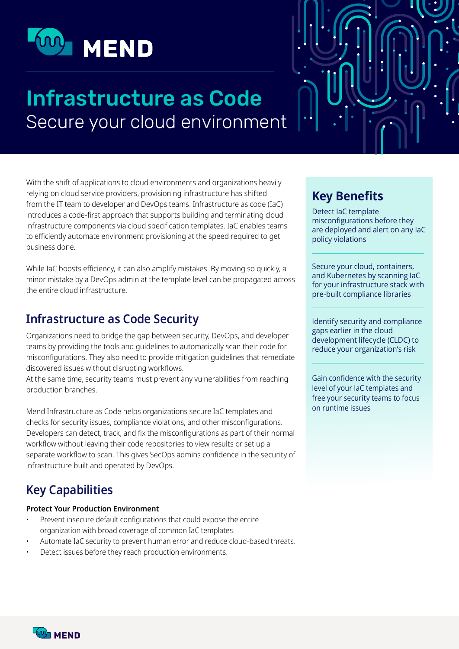

# **Infrastructure as Code** Secure your cloud environment

With the shift of applications to cloud environments and organizations heavily relying on cloud service providers, provisioning infrastructure has shifted from the IT team to developer and DevOps teams. Infrastructure as code (IaC) introduces a code-first approach that supports building and terminating cloud infrastructure components via cloud specification templates. IaC enables teams to efficiently automate environment provisioning at the speed required to get business done.

While IaC boosts efficiency, it can also amplify mistakes. By moving so quickly, a minor mistake by a DevOps admin at the template level can be propagated across the entire cloud infrastructure.

## **Infrastructure as Code Security**

Organizations need to bridge the gap between security, DevOps, and developer teams by providing the tools and quidelines to automatically scan their code for misconfigurations. They also need to provide mitigation guidelines that remediate discovered issues without disrupting workflows.

At the same time, security teams must prevent any vulnerabilities from reaching production branches.

Mend Infrastructure as Code helps organizations secure IaC templates and checks for security issues, compliance violations, and other misconfigurations. Developers can detect, track, and fix the misconfigurations as part of their normal workflow without leaving their code repositories to view results or set up a separate workflow to scan. This gives SecOps admins confidence in the security of infrastructure built and operated by DevOps.

## **Key Capabilities**

#### **Protect Your Production Environment**

- Prevent insecure default configurations that could expose the entire organization with broad coverage of common IaC templates.
- Automate IaC security to prevent human error and reduce cloud-based threats.
- Detect issues before they reach production environments.

## **Key Benefits**

Detect IaC template misconfigurations before they are deployed and alert on any laC policy violations

Secure your cloud, containers, and Kubernetes by scanning laC for your infrastructure stack with pre-built compliance libraries

Identify security and compliance gaps earlier in the cloud development lifecycle (CLDC) to reduce your organization's risk

Gain confidence with the security level of your laC templates and free your security teams to focus on runtime issues